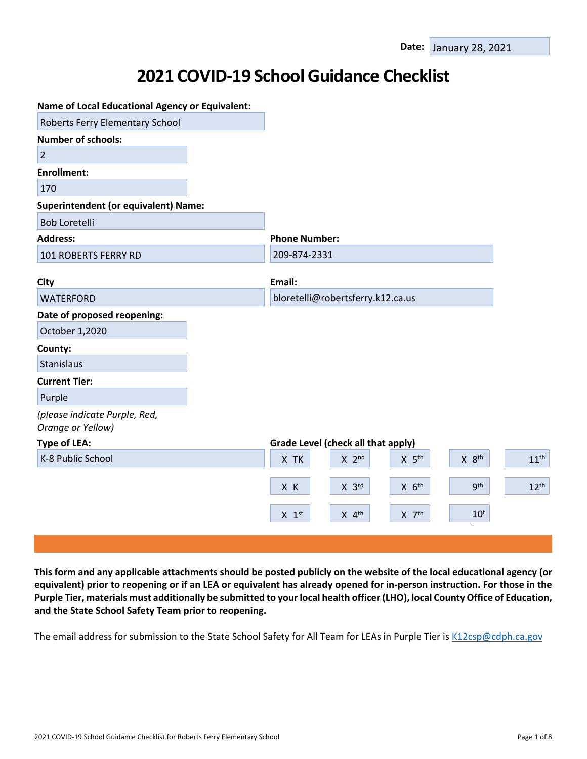# **2021 COVID-19 School Guidance Checklist**

| <b>Name of Local Educational Agency or Equivalent:</b> |                                    |                                          |                  |
|--------------------------------------------------------|------------------------------------|------------------------------------------|------------------|
| Roberts Ferry Elementary School                        |                                    |                                          |                  |
| <b>Number of schools:</b>                              |                                    |                                          |                  |
| $\overline{2}$                                         |                                    |                                          |                  |
| <b>Enrollment:</b>                                     |                                    |                                          |                  |
| 170                                                    |                                    |                                          |                  |
| <b>Superintendent (or equivalent) Name:</b>            |                                    |                                          |                  |
| <b>Bob Loretelli</b>                                   |                                    |                                          |                  |
| <b>Address:</b>                                        | <b>Phone Number:</b>               |                                          |                  |
| 101 ROBERTS FERRY RD                                   | 209-874-2331                       |                                          |                  |
|                                                        |                                    |                                          |                  |
| City                                                   | Email:                             |                                          |                  |
| <b>WATERFORD</b>                                       | bloretelli@robertsferry.k12.ca.us  |                                          |                  |
| Date of proposed reopening:                            |                                    |                                          |                  |
| October 1,2020                                         |                                    |                                          |                  |
| County:                                                |                                    |                                          |                  |
| <b>Stanislaus</b>                                      |                                    |                                          |                  |
| <b>Current Tier:</b>                                   |                                    |                                          |                  |
| Purple                                                 |                                    |                                          |                  |
| (please indicate Purple, Red,<br>Orange or Yellow)     |                                    |                                          |                  |
| <b>Type of LEA:</b>                                    | Grade Level (check all that apply) |                                          |                  |
| K-8 Public School                                      | $X$ 2 <sup>nd</sup><br>X TK        | X 8 <sup>th</sup><br>$X$ 5 <sup>th</sup> | 11 <sup>th</sup> |
|                                                        | $X$ 3rd<br>X K                     | <b>gth</b><br>$X$ $6th$                  | 12 <sup>th</sup> |
|                                                        | $X$ 4 <sup>th</sup><br>$X$ 1st     | $10^t$<br>$X$ $7th$                      |                  |
|                                                        |                                    |                                          |                  |

This form and any applicable attachments should be posted publicly on the website of the local educational agency (or equivalent) prior to reopening or if an LEA or equivalent has already opened for in-person instruction. For those in the Purple Tier, materials must additionally be submitted to your local health officer (LHO), local County Office of Education, **and the State School Safety Team prior to reopening.**

The email address for submission to the State School Safety for All Team for LEAs in Purple Tier is [K12csp@cdph.ca.gov](mailto:K12csp@cdph.ca.gov)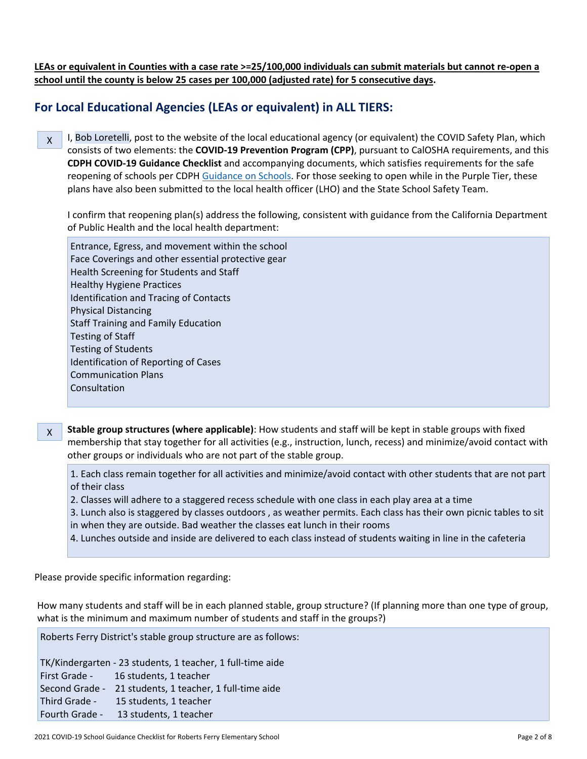LEAs or equivalent in Counties with a case rate >=25/100,000 individuals can submit materials but cannot re-open a **school until the county is below 25 cases per 100,000 (adjusted rate) for 5 consecutive days.**

## **For Local Educational Agencies (LEAs or equivalent) in ALL TIERS:**

X I, Bob Loretelli, post to the website of the local educational agency (or equivalent) the COVID Safety Plan, which consists of two elements: the **COVID-19 Prevention Program (CPP)**, pursuant to CalOSHA requirements, and this **CDPH COVID-19 Guidance Checklist** and accompanying documents, which satisfies requirements for the safe reopening of schools per CDPH [Guidance](https://www.cdph.ca.gov/Programs/CID/DCDC/CDPH%20Document%20Library/COVID-19/Consolidated_Schools_Guidance.pdf) on Schools. For those seeking to open while in the Purple Tier, these

plans have also been submitted to the local health officer (LHO) and the State School Safety Team.

I confirm that reopening plan(s) address the following, consistent with guidance from the California Department of Public Health and the local health department:

Entrance, Egress, and movement within the school Face Coverings and other essential protective gear Health Screening for Students and Staff Healthy Hygiene Practices Identification and Tracing of Contacts Physical Distancing Staff Training and Family Education Testing of Staff Testing of Students Identification of Reporting of Cases Communication Plans Consultation

X **Stable group structures (where applicable)**: How students and staff will be kept in stable groups with fixed membership that stay together for all activities (e.g., instruction, lunch, recess) and minimize/avoid contact with other groups or individuals who are not part of the stable group.

1. Each class remain together for all activities and minimize/avoid contact with other students that are not part of their class

- 2. Classes will adhere to a staggered recess schedule with one class in each play area at a time
- 3. Lunch also is staggered by classes outdoors , as weather permits. Each class has their own picnic tables to sit in when they are outside. Bad weather the classes eat lunch in their rooms
- 4. Lunches outside and inside are delivered to each class instead of students waiting in line in the cafeteria

Please provide specific information regarding:

How many students and staff will be in each planned stable, group structure? (If planning more than one type of group, what is the minimum and maximum number of students and staff in the groups?)

Roberts Ferry District's stable group structure are as follows:

TK/Kindergarten - 23 students, 1 teacher, 1 full-time aide First Grade - 16 students, 1 teacher Second Grade - 21 students, 1 teacher, 1 full-time aide Third Grade - 15 students, 1 teacher Fourth Grade - 13 students, 1 teacher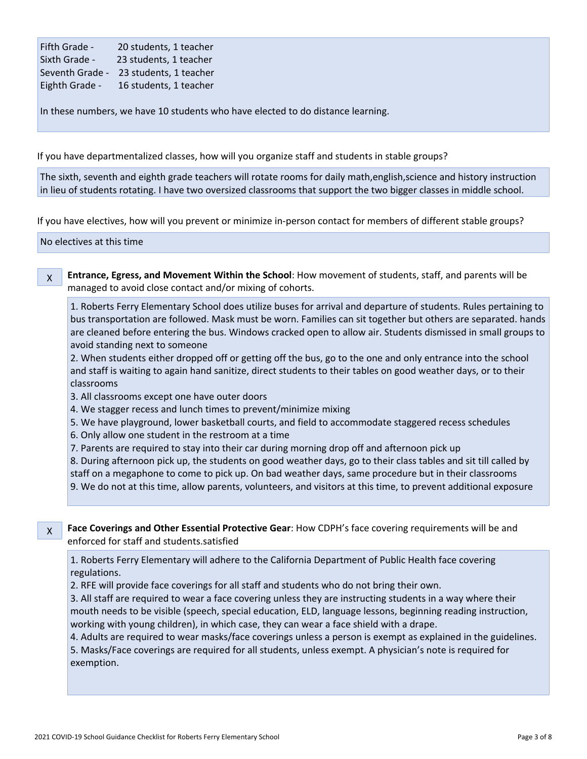| Fifth Grade -   | 20 students, 1 teacher |
|-----------------|------------------------|
| Sixth Grade -   | 23 students, 1 teacher |
| Seventh Grade - | 23 students, 1 teacher |
| Eighth Grade -  | 16 students, 1 teacher |

In these numbers, we have 10 students who have elected to do distance learning.

If you have departmentalized classes, how will you organize staff and students in stable groups?

The sixth, seventh and eighth grade teachers will rotate rooms for daily math,english,science and history instruction in lieu of students rotating. I have two oversized classrooms that support the two bigger classes in middle school.

If you have electives, how will you prevent or minimize in-person contact for members of different stable groups?

No electives at this time-

X **Entrance, Egress, and Movement Within the School**: How movement of students, staff, and parents will be managed to avoid close contact and/or mixing of cohorts.

1. Roberts Ferry Elementary School does utilize buses for arrival and departure of students. Rules pertaining to bus transportation are followed. Mask must be worn. Families can sit together but others are separated. hands are cleaned before entering the bus. Windows cracked open to allow air. Students dismissed in small groups to avoid standing next to someone

2. When students either dropped off or getting off the bus, go to the one and only entrance into the school and staff is waiting to again hand sanitize, direct students to their tables on good weather days, or to their classrooms

3. All classrooms except one have outer doors

4. We stagger recess and lunch times to prevent/minimize mixing

5. We have playground, lower basketball courts, and field to accommodate staggered recess schedules

6. Only allow one student in the restroom at a time

7. Parents are required to stay into their car during morning drop off and afternoon pick up

8. During afternoon pick up, the students on good weather days, go to their class tables and sit till called by staff on a megaphone to come to pick up. On bad weather days, same procedure but in their classrooms

9. We do not at this time, allow parents, volunteers, and visitors at this time, to prevent additional exposure

X

**Face Coverings and Other Essential Protective Gear**: How CDPH's face covering requirements will be and enforced for staff and students.satisfied

1. Roberts Ferry Elementary will adhere to the California Department of Public Health face covering regulations.

2. RFE will provide face coverings for all staff and students who do not bring their own.

3. All staff are required to wear a face covering unless they are instructing students in a way where their mouth needs to be visible (speech, special education, ELD, language lessons, beginning reading instruction, working with young children), in which case, they can wear a face shield with a drape.

4. Adults are required to wear masks/face coverings unless a person is exempt as explained in the guidelines. 5. Masks/Face coverings are required for all students, unless exempt. A physician's note is required for exemption.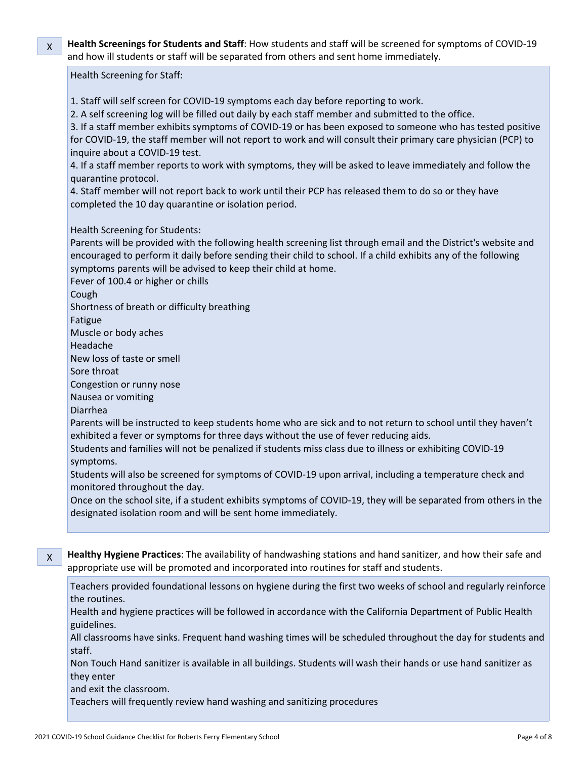X **Health Screenings for Students and Staff**: How students and staff will be screened for symptoms of COVID-19 and how ill students or staff will be separated from others and sent home immediately.

### Health Screening for Staff:

- 1. Staff will self screen for COVID-19 symptoms each day before reporting to work.
- 2. A self screening log will be filled out daily by each staff member and submitted to the office.

3. If a staff member exhibits symptoms of COVID-19 or has been exposed to someone who has tested positive for COVID-19, the staff member will not report to work and will consult their primary care physician (PCP) to inquire about a COVID-19 test.

4. If a staff member reports to work with symptoms, they will be asked to leave immediately and follow the quarantine protocol.

4. Staff member will not report back to work until their PCP has released them to do so or they have completed the 10 day quarantine or isolation period.

## Health Screening for Students:

Parents will be provided with the following health screening list through email and the District's website and encouraged to perform it daily before sending their child to school. If a child exhibits any of the following symptoms parents will be advised to keep their child at home.

Fever of 100.4 or higher or chills

Cough

Shortness of breath or difficulty breathing

Fatigue

Muscle or body aches

Headache

New loss of taste or smell

Sore throat

Congestion or runny nose

Nausea or vomiting

Diarrhea

Parents will be instructed to keep students home who are sick and to not return to school until they haven't exhibited a fever or symptoms for three days without the use of fever reducing aids.

Students and families will not be penalized if students miss class due to illness or exhibiting COVID-19 symptoms.

Students will also be screened for symptoms of COVID-19 upon arrival, including a temperature check and monitored throughout the day.

Once on the school site, if a student exhibits symptoms of COVID-19, they will be separated from others in the designated isolation room and will be sent home immediately.

X **Healthy Hygiene Practices**: The availability of handwashing stations and hand sanitizer, and how their safe and appropriate use will be promoted and incorporated into routines for staff and students.

Teachers provided foundational lessons on hygiene during the first two weeks of school and regularly reinforce the routines.

Health and hygiene practices will be followed in accordance with the California Department of Public Health guidelines.

All classrooms have sinks. Frequent hand washing times will be scheduled throughout the day for students and staff.

Non Touch Hand sanitizer is available in all buildings. Students will wash their hands or use hand sanitizer as they enter

and exit the classroom.

Teachers will frequently review hand washing and sanitizing procedures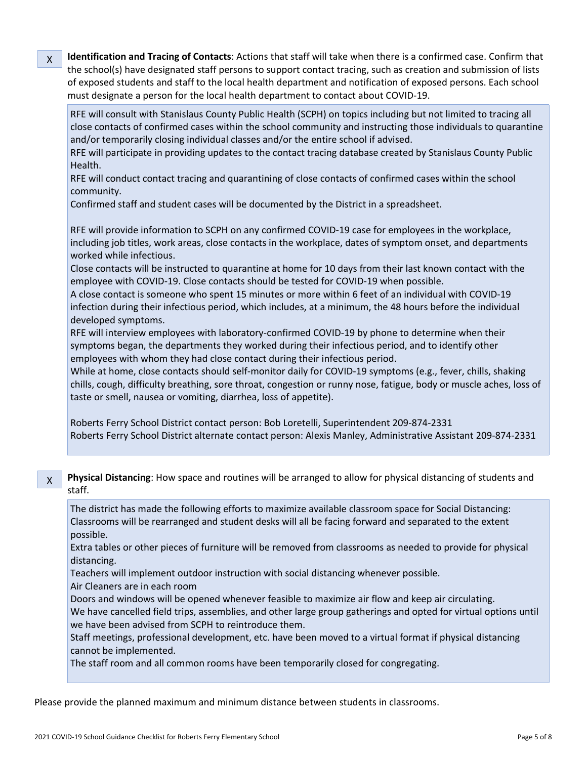**Identification and Tracing of Contacts**: Actions that staff will take when there is a confirmed case. Confirm that the school(s) have designated staff persons to support contact tracing, such as creation and submission of lists of exposed students and staff to the local health department and notification of exposed persons. Each school must designate a person for the local health department to contact about COVID-19.

RFE will consult with Stanislaus County Public Health (SCPH) on topics including but not limited to tracing all close contacts of confirmed cases within the school community and instructing those individuals to quarantine and/or temporarily closing individual classes and/or the entire school if advised.

RFE will participate in providing updates to the contact tracing database created by Stanislaus County Public Health.

RFE will conduct contact tracing and quarantining of close contacts of confirmed cases within the school community.

Confirmed staff and student cases will be documented by the District in a spreadsheet.

RFE will provide information to SCPH on any confirmed COVID-19 case for employees in the workplace, including job titles, work areas, close contacts in the workplace, dates of symptom onset, and departments worked while infectious.

Close contacts will be instructed to quarantine at home for 10 days from their last known contact with the employee with COVID-19. Close contacts should be tested for COVID-19 when possible.

A close contact is someone who spent 15 minutes or more within 6 feet of an individual with COVID-19 infection during their infectious period, which includes, at a minimum, the 48 hours before the individual developed symptoms.

RFE will interview employees with laboratory-confirmed COVID-19 by phone to determine when their symptoms began, the departments they worked during their infectious period, and to identify other employees with whom they had close contact during their infectious period.

While at home, close contacts should self-monitor daily for COVID-19 symptoms (e.g., fever, chills, shaking chills, cough, difficulty breathing, sore throat, congestion or runny nose, fatigue, body or muscle aches, loss of taste or smell, nausea or vomiting, diarrhea, loss of appetite).

Roberts Ferry School District contact person: Bob Loretelli, Superintendent 209-874-2331 Roberts Ferry School District alternate contact person: Alexis Manley, Administrative Assistant 209-874-2331

X **Physical Distancing**: How space and routines will be arranged to allow for physical distancing of students and staff.

The district has made the following efforts to maximize available classroom space for Social Distancing: Classrooms will be rearranged and student desks will all be facing forward and separated to the extent possible.

Extra tables or other pieces of furniture will be removed from classrooms as needed to provide for physical distancing.

Teachers will implement outdoor instruction with social distancing whenever possible.

Air Cleaners are in each room

X

Doors and windows will be opened whenever feasible to maximize air flow and keep air circulating. We have cancelled field trips, assemblies, and other large group gatherings and opted for virtual options until we have been advised from SCPH to reintroduce them.

Staff meetings, professional development, etc. have been moved to a virtual format if physical distancing cannot be implemented.

The staff room and all common rooms have been temporarily closed for congregating.

Please provide the planned maximum and minimum distance between students in classrooms.

2021 COVID-19 School Guidance Checklist for Roberts Ferry Elementary School Page 5 of 8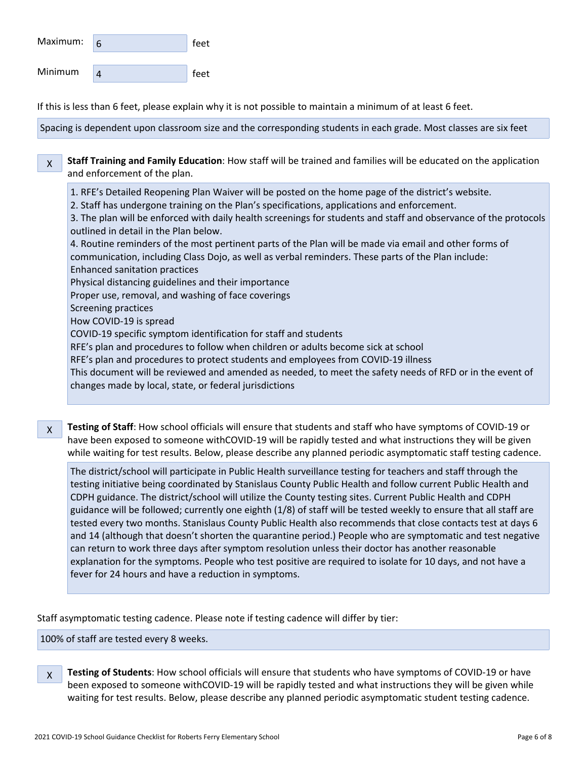| Maximum: | feet |
|----------|------|
| Minimum  | feet |

If this is less than 6 feet, please explain why it is not possible to maintain a minimum of at least 6 feet.

Spacing is dependent upon classroom size and the corresponding students in each grade. Most classes are six feet

X **Staff Training and Family Education**: How staff will be trained and families will be educated on the application and enforcement of the plan.

1. RFE's Detailed Reopening Plan Waiver will be posted on the home page of the district's website.

2. Staff has undergone training on the Plan's specifications, applications and enforcement.

3. The plan will be enforced with daily health screenings for students and staff and observance of the protocols outlined in detail in the Plan below.

4. Routine reminders of the most pertinent parts of the Plan will be made via email and other forms of communication, including Class Dojo, as well as verbal reminders. These parts of the Plan include: Enhanced sanitation practices

Physical distancing guidelines and their importance

Proper use, removal, and washing of face coverings

Screening practices

How COVID-19 is spread

COVID-19 specific symptom identification for staff and students

RFE's plan and procedures to follow when children or adults become sick at school

RFE's plan and procedures to protect students and employees from COVID-19 illness

This document will be reviewed and amended as needed, to meet the safety needs of RFD or in the event of changes made by local, state, or federal jurisdictions

X **Testing of Staff**: How school officials will ensure that students and staff who have symptoms of COVID-19 or have been exposed to someone withCOVID-19 will be rapidly tested and what instructions they will be given while waiting for test results. Below, please describe any planned periodic asymptomatic staff testing cadence.

The district/school will participate in Public Health surveillance testing for teachers and staff through the testing initiative being coordinated by Stanislaus County Public Health and follow current Public Health and CDPH guidance. The district/school will utilize the County testing sites. Current Public Health and CDPH guidance will be followed; currently one eighth (1/8) of staff will be tested weekly to ensure that all staff are tested every two months. Stanislaus County Public Health also recommends that close contacts test at days 6 and 14 (although that doesn't shorten the quarantine period.) People who are symptomatic and test negative can return to work three days after symptom resolution unless their doctor has another reasonable explanation for the symptoms. People who test positive are required to isolate for 10 days, and not have a fever for 24 hours and have a reduction in symptoms.

Staff asymptomatic testing cadence. Please note if testing cadence will differ by tier:

100% of staff are tested every 8 weeks.

X **Testing of Students**: How school officials will ensure that students who have symptoms of COVID-19 or have been exposed to someone withCOVID-19 will be rapidly tested and what instructions they will be given while waiting for test results. Below, please describe any planned periodic asymptomatic student testing cadence.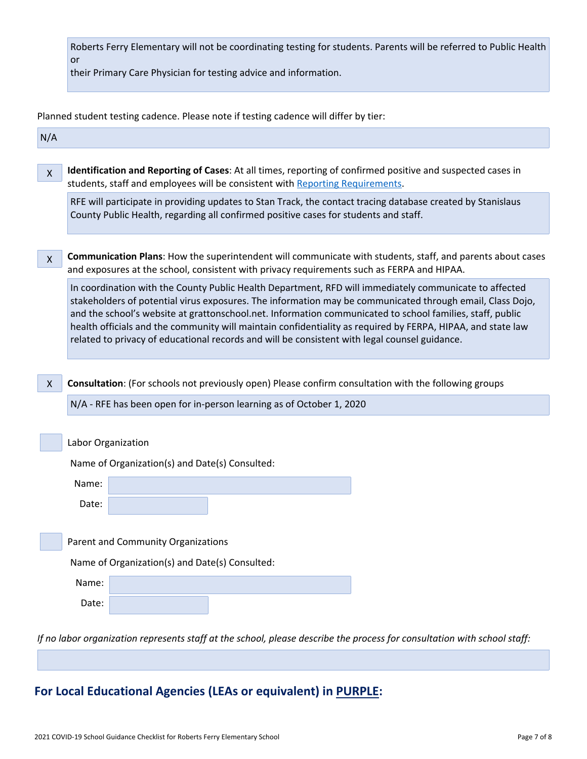| Roberts Ferry Elementary will not be coordinating testing for students. Parents will be referred to Public Health |  |
|-------------------------------------------------------------------------------------------------------------------|--|
| or                                                                                                                |  |

their Primary Care Physician for testing advice and information.

Planned student testing cadence. Please note if testing cadence will differ by tier:

| N/A          |                                                                                                                                                                                                                                                                                                                                                                                                                                                                                                                                                  |  |  |  |
|--------------|--------------------------------------------------------------------------------------------------------------------------------------------------------------------------------------------------------------------------------------------------------------------------------------------------------------------------------------------------------------------------------------------------------------------------------------------------------------------------------------------------------------------------------------------------|--|--|--|
| $\mathsf{X}$ | Identification and Reporting of Cases: At all times, reporting of confirmed positive and suspected cases in<br>students, staff and employees will be consistent with Reporting Requirements.                                                                                                                                                                                                                                                                                                                                                     |  |  |  |
|              | RFE will participate in providing updates to Stan Track, the contact tracing database created by Stanislaus<br>County Public Health, regarding all confirmed positive cases for students and staff.                                                                                                                                                                                                                                                                                                                                              |  |  |  |
| $\mathsf{X}$ | Communication Plans: How the superintendent will communicate with students, staff, and parents about cases<br>and exposures at the school, consistent with privacy requirements such as FERPA and HIPAA.                                                                                                                                                                                                                                                                                                                                         |  |  |  |
|              | In coordination with the County Public Health Department, RFD will immediately communicate to affected<br>stakeholders of potential virus exposures. The information may be communicated through email, Class Dojo,<br>and the school's website at grattonschool.net. Information communicated to school families, staff, public<br>health officials and the community will maintain confidentiality as required by FERPA, HIPAA, and state law<br>related to privacy of educational records and will be consistent with legal counsel guidance. |  |  |  |
| $\mathsf{X}$ | Consultation: (For schools not previously open) Please confirm consultation with the following groups<br>N/A - RFE has been open for in-person learning as of October 1, 2020                                                                                                                                                                                                                                                                                                                                                                    |  |  |  |
|              |                                                                                                                                                                                                                                                                                                                                                                                                                                                                                                                                                  |  |  |  |
|              | Labor Organization                                                                                                                                                                                                                                                                                                                                                                                                                                                                                                                               |  |  |  |
|              | Name of Organization(s) and Date(s) Consulted:                                                                                                                                                                                                                                                                                                                                                                                                                                                                                                   |  |  |  |
|              | Name:                                                                                                                                                                                                                                                                                                                                                                                                                                                                                                                                            |  |  |  |
|              | Date:                                                                                                                                                                                                                                                                                                                                                                                                                                                                                                                                            |  |  |  |
|              |                                                                                                                                                                                                                                                                                                                                                                                                                                                                                                                                                  |  |  |  |
|              | Parent and Community Organizations                                                                                                                                                                                                                                                                                                                                                                                                                                                                                                               |  |  |  |
|              | Name of Organization(s) and Date(s) Consulted:                                                                                                                                                                                                                                                                                                                                                                                                                                                                                                   |  |  |  |
|              | Name:                                                                                                                                                                                                                                                                                                                                                                                                                                                                                                                                            |  |  |  |
|              | Date:                                                                                                                                                                                                                                                                                                                                                                                                                                                                                                                                            |  |  |  |
|              | If no labor organization represents staff at the school, please describe the process for consultation with school staff:                                                                                                                                                                                                                                                                                                                                                                                                                         |  |  |  |

# **For Local Educational Agencies (LEAs or equivalent) in PURPLE:**